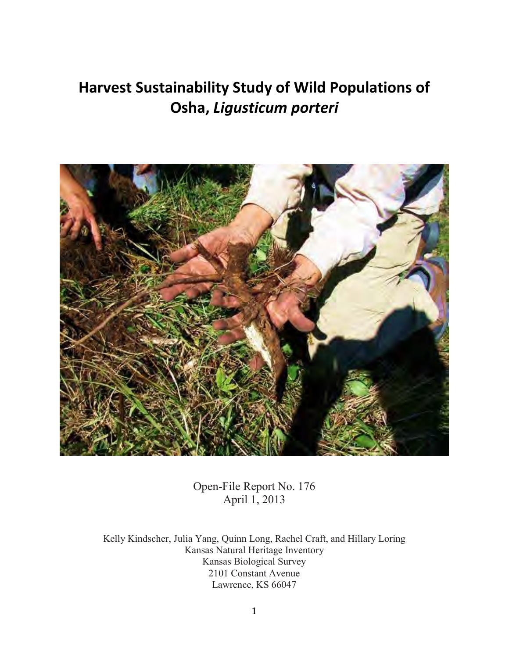# **Harvest Sustainability Study of Wild Populations of Osha,** *Ligusticum porteri*



Open-File Report No. 176 April 1, 2013

Kelly Kindscher, Julia Yang, Quinn Long, Rachel Craft, and Hillary Loring Kansas Natural Heritage Inventory Kansas Biological Survey 2101 Constant Avenue Lawrence, KS 66047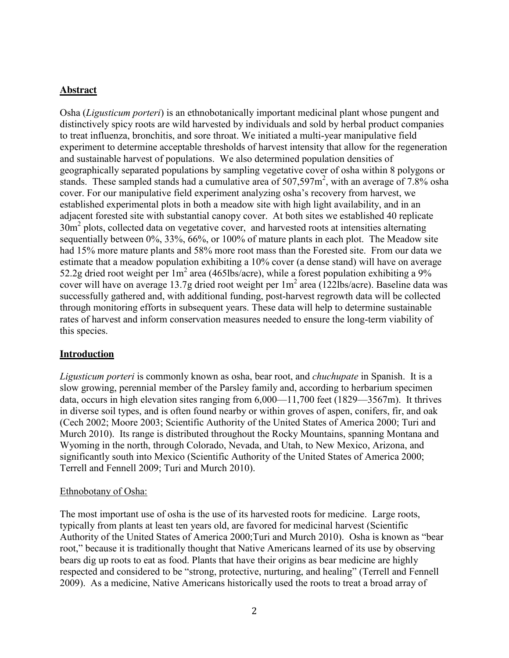## **Abstract**

Osha (*Ligusticum porteri*) is an ethnobotanically important medicinal plant whose pungent and distinctively spicy roots are wild harvested by individuals and sold by herbal product companies to treat influenza, bronchitis, and sore throat. We initiated a multi-year manipulative field experiment to determine acceptable thresholds of harvest intensity that allow for the regeneration and sustainable harvest of populations. We also determined population densities of geographically separated populations by sampling vegetative cover of osha within 8 polygons or stands. These sampled stands had a cumulative area of  $507,597m^2$ , with an average of 7.8% osha cover. For our manipulative field experiment analyzing osha's recovery from harvest, we established experimental plots in both a meadow site with high light availability, and in an adjacent forested site with substantial canopy cover. At both sites we established 40 replicate  $30m<sup>2</sup>$  plots, collected data on vegetative cover, and harvested roots at intensities alternating sequentially between 0%, 33%, 66%, or 100% of mature plants in each plot. The Meadow site had 15% more mature plants and 58% more root mass than the Forested site. From our data we estimate that a meadow population exhibiting a 10% cover (a dense stand) will have on average 52.2g dried root weight per  $1m^2$  area (465lbs/acre), while a forest population exhibiting a 9% cover will have on average 13.7g dried root weight per  $1m^2$  area (122lbs/acre). Baseline data was successfully gathered and, with additional funding, post-harvest regrowth data will be collected through monitoring efforts in subsequent years. These data will help to determine sustainable rates of harvest and inform conservation measures needed to ensure the long-term viability of this species.

# **Introduction**

*Ligusticum porteri* is commonly known as osha, bear root, and *chuchupate* in Spanish. It is a slow growing, perennial member of the Parsley family and, according to herbarium specimen data, occurs in high elevation sites ranging from 6,000—11,700 feet (1829—3567m). It thrives in diverse soil types, and is often found nearby or within groves of aspen, conifers, fir, and oak (Cech 2002; Moore 2003; Scientific Authority of the United States of America 2000; Turi and Murch 2010). Its range is distributed throughout the Rocky Mountains, spanning Montana and Wyoming in the north, through Colorado, Nevada, and Utah, to New Mexico, Arizona, and significantly south into Mexico (Scientific Authority of the United States of America 2000; Terrell and Fennell 2009; Turi and Murch 2010).

#### Ethnobotany of Osha:

The most important use of osha is the use of its harvested roots for medicine. Large roots, typically from plants at least ten years old, are favored for medicinal harvest (Scientific Authority of the United States of America 2000;Turi and Murch 2010). Osha is known as "bear root," because it is traditionally thought that Native Americans learned of its use by observing bears dig up roots to eat as food. Plants that have their origins as bear medicine are highly respected and considered to be "strong, protective, nurturing, and healing" (Terrell and Fennell 2009). As a medicine, Native Americans historically used the roots to treat a broad array of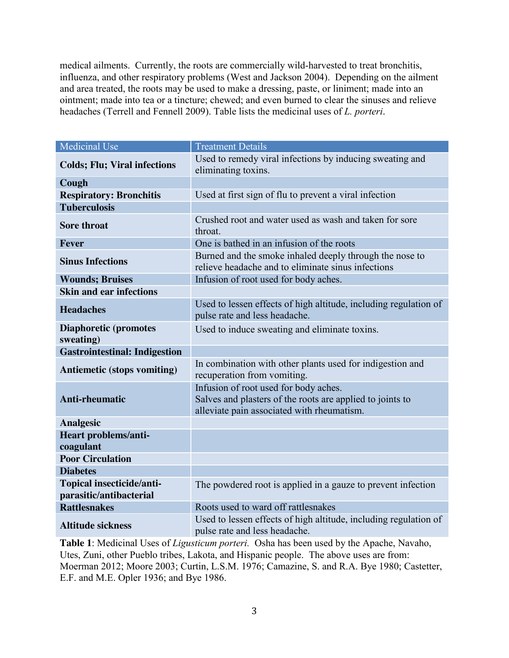medical ailments. Currently, the roots are commercially wild-harvested to treat bronchitis, influenza, and other respiratory problems (West and Jackson 2004). Depending on the ailment and area treated, the roots may be used to make a dressing, paste, or liniment; made into an ointment; made into tea or a tincture; chewed; and even burned to clear the sinuses and relieve headaches (Terrell and Fennell 2009). Table lists the medicinal uses of *L. porteri*.

| <b>Medicinal Use</b>                                 | <b>Treatment Details</b>                                                                                                                         |  |  |
|------------------------------------------------------|--------------------------------------------------------------------------------------------------------------------------------------------------|--|--|
| <b>Colds; Flu; Viral infections</b>                  | Used to remedy viral infections by inducing sweating and<br>eliminating toxins.                                                                  |  |  |
| Cough                                                |                                                                                                                                                  |  |  |
| <b>Respiratory: Bronchitis</b>                       | Used at first sign of flu to prevent a viral infection                                                                                           |  |  |
| <b>Tuberculosis</b>                                  |                                                                                                                                                  |  |  |
| <b>Sore throat</b>                                   | Crushed root and water used as wash and taken for sore<br>throat.                                                                                |  |  |
| <b>Fever</b>                                         | One is bathed in an infusion of the roots                                                                                                        |  |  |
| <b>Sinus Infections</b>                              | Burned and the smoke inhaled deeply through the nose to<br>relieve headache and to eliminate sinus infections                                    |  |  |
| <b>Wounds; Bruises</b>                               | Infusion of root used for body aches.                                                                                                            |  |  |
| <b>Skin and ear infections</b>                       |                                                                                                                                                  |  |  |
| <b>Headaches</b>                                     | Used to lessen effects of high altitude, including regulation of<br>pulse rate and less headache.                                                |  |  |
| <b>Diaphoretic (promotes</b><br>sweating)            | Used to induce sweating and eliminate toxins.                                                                                                    |  |  |
| <b>Gastrointestinal: Indigestion</b>                 |                                                                                                                                                  |  |  |
| <b>Antiemetic (stops vomiting)</b>                   | In combination with other plants used for indigestion and<br>recuperation from vomiting.                                                         |  |  |
| Anti-rheumatic                                       | Infusion of root used for body aches.<br>Salves and plasters of the roots are applied to joints to<br>alleviate pain associated with rheumatism. |  |  |
| <b>Analgesic</b>                                     |                                                                                                                                                  |  |  |
| Heart problems/anti-<br>coagulant                    |                                                                                                                                                  |  |  |
| <b>Poor Circulation</b>                              |                                                                                                                                                  |  |  |
| <b>Diabetes</b>                                      |                                                                                                                                                  |  |  |
| Topical insecticide/anti-<br>parasitic/antibacterial | The powdered root is applied in a gauze to prevent infection                                                                                     |  |  |
| <b>Rattlesnakes</b>                                  | Roots used to ward off rattlesnakes                                                                                                              |  |  |
| <b>Altitude sickness</b>                             | Used to lessen effects of high altitude, including regulation of<br>pulse rate and less headache.                                                |  |  |

**Table 1**: Medicinal Uses of *Ligusticum porteri.* Osha has been used by the Apache, Navaho, Utes, Zuni, other Pueblo tribes, Lakota, and Hispanic people. The above uses are from: Moerman 2012; Moore 2003; Curtin, L.S.M. 1976; Camazine, S. and R.A. Bye 1980; Castetter, E.F. and M.E. Opler 1936; and Bye 1986.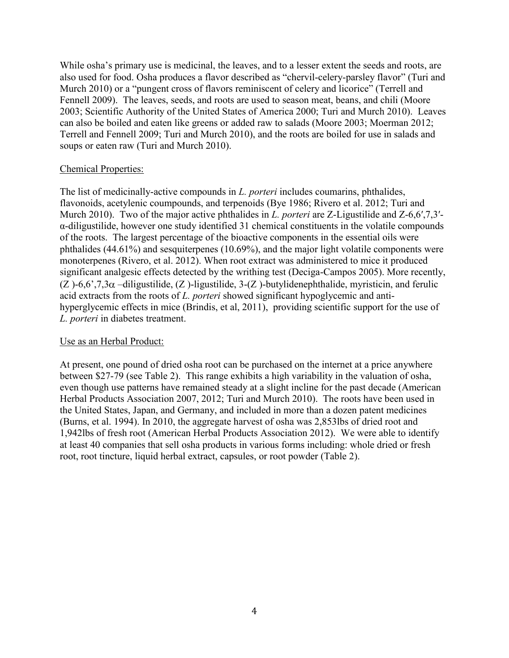While osha's primary use is medicinal, the leaves, and to a lesser extent the seeds and roots, are also used for food. Osha produces a flavor described as "chervil-celery-parsley flavor" (Turi and Murch 2010) or a "pungent cross of flavors reminiscent of celery and licorice" (Terrell and Fennell 2009). The leaves, seeds, and roots are used to season meat, beans, and chili (Moore 2003; Scientific Authority of the United States of America 2000; Turi and Murch 2010). Leaves can also be boiled and eaten like greens or added raw to salads (Moore 2003; Moerman 2012; Terrell and Fennell 2009; Turi and Murch 2010), and the roots are boiled for use in salads and soups or eaten raw (Turi and Murch 2010).

#### Chemical Properties:

The list of medicinally-active compounds in *L. porteri* includes coumarins, phthalides, flavonoids, acetylenic coumpounds, and terpenoids (Bye 1986; Rivero et al. 2012; Turi and Murch 2010). Two of the major active phthalides in *L. porteri* are Z-Ligustilide and Z-6,6',7,3'α-diligustilide, however one study identified 31 chemical constituents in the volatile compounds of the roots. The largest percentage of the bioactive components in the essential oils were phthalides (44.61%) and sesquiterpenes (10.69%), and the major light volatile components were monoterpenes (Rivero, et al. 2012). When root extract was administered to mice it produced significant analgesic effects detected by the writhing test (Deciga-Campos 2005). More recently, (Z )-6,6',7,3 $\alpha$  –diligustilide, (Z )-ligustilide, 3-(Z )-butylidenephthalide, myristicin, and ferulic acid extracts from the roots of *L. porteri* showed significant hypoglycemic and antihyperglycemic effects in mice (Brindis, et al, 2011), providing scientific support for the use of *L. porteri* in diabetes treatment.

# Use as an Herbal Product:

At present, one pound of dried osha root can be purchased on the internet at a price anywhere between \$27-79 (see Table 2). This range exhibits a high variability in the valuation of osha, even though use patterns have remained steady at a slight incline for the past decade (American Herbal Products Association 2007, 2012; Turi and Murch 2010). The roots have been used in the United States, Japan, and Germany, and included in more than a dozen patent medicines (Burns, et al. 1994). In 2010, the aggregate harvest of osha was 2,853lbs of dried root and 1,942lbs of fresh root (American Herbal Products Association 2012). We were able to identify at least 40 companies that sell osha products in various forms including: whole dried or fresh root, root tincture, liquid herbal extract, capsules, or root powder (Table 2).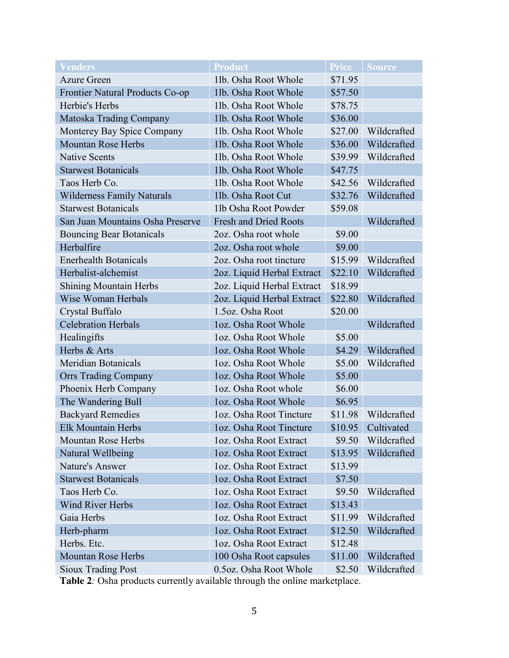| <b>Venders</b>                    | <b>Product</b>               | <b>Price</b> | <b>Source</b> |
|-----------------------------------|------------------------------|--------------|---------------|
| <b>Azure Green</b>                | 11b. Osha Root Whole         | \$71.95      |               |
| Frontier Natural Products Co-op   | 11b. Osha Root Whole         | \$57.50      |               |
| Herbie's Herbs                    | 11b. Osha Root Whole         | \$78.75      |               |
| Matoska Trading Company           | 11b. Osha Root Whole         | \$36.00      |               |
| Monterey Bay Spice Company        | 11b. Osha Root Whole         | \$27.00      | Wildcrafted   |
| <b>Mountan Rose Herbs</b>         | 11b. Osha Root Whole         | \$36.00      | Wildcrafted   |
| <b>Native Scents</b>              | 11b. Osha Root Whole         | \$39.99      | Wildcrafted   |
| <b>Starwest Botanicals</b>        | 11b. Osha Root Whole         | \$47.75      |               |
| Taos Herb Co.                     | 11b. Osha Root Whole         | \$42.56      | Wildcrafted   |
| <b>Wilderness Family Naturals</b> | 11b. Osha Root Cut           | \$32.76      | Wildcrafted   |
| <b>Starwest Botanicals</b>        | 11b Osha Root Powder         | \$59.08      |               |
| San Juan Mountains Osha Preserve  | <b>Fresh and Dried Roots</b> |              | Wildcrafted   |
| <b>Bouncing Bear Botanicals</b>   | 2oz. Osha root whole         | \$9.00       |               |
| Herbalfire                        | 2oz. Osha root whole         | \$9.00       |               |
| <b>Enerhealth Botanicals</b>      | 2oz. Osha root tincture      | \$15.99      | Wildcrafted   |
| Herbalist-alchemist               | 2oz. Liquid Herbal Extract   | \$22.10      | Wildcrafted   |
| <b>Shining Mountain Herbs</b>     | 2oz. Liquid Herbal Extract   | \$18.99      |               |
| <b>Wise Woman Herbals</b>         | 2oz. Liquid Herbal Extract   | \$22.80      | Wildcrafted   |
| Crystal Buffalo                   | 1.5oz. Osha Root             | \$20.00      |               |
| <b>Celebration Herbals</b>        | loz. Osha Root Whole         |              | Wildcrafted   |
| Healingifts                       | loz. Osha Root Whole         | \$5.00       |               |
| Herbs & Arts                      | loz. Osha Root Whole         | \$4.29       | Wildcrafted   |
| <b>Meridian Botanicals</b>        | loz. Osha Root Whole         | \$5.00       | Wildcrafted   |
| <b>Orrs Trading Company</b>       | loz. Osha Root Whole         | \$5.00       |               |
| Phoenix Herb Company              | loz. Osha Root whole         | \$6.00       |               |
| The Wandering Bull                | loz. Osha Root Whole         | \$6.95       |               |
| <b>Backyard Remedies</b>          | loz. Osha Root Tincture      | \$11.98      | Wildcrafted   |
| <b>Elk Mountain Herbs</b>         | loz. Osha Root Tincture      | \$10.95      | Cultivated    |
| <b>Mountan Rose Herbs</b>         | loz. Osha Root Extract       | \$9.50       | Wildcrafted   |
| Natural Wellbeing                 | loz. Osha Root Extract       | \$13.95      | Wildcrafted   |
| Nature's Answer                   | loz. Osha Root Extract       | \$13.99      |               |
| <b>Starwest Botanicals</b>        | loz. Osha Root Extract       | \$7.50       |               |
| Taos Herb Co.                     | loz. Osha Root Extract       | \$9.50       | Wildcrafted   |
| <b>Wind River Herbs</b>           | loz. Osha Root Extract       | \$13.43      |               |
| Gaia Herbs                        | loz. Osha Root Extract       | \$11.99      | Wildcrafted   |
| Herb-pharm                        | loz. Osha Root Extract       | \$12.50      | Wildcrafted   |
| Herbs. Etc.                       | loz. Osha Root Extract       | \$12.48      |               |
| <b>Mountan Rose Herbs</b>         | 100 Osha Root capsules       | \$11.00      | Wildcrafted   |
| <b>Sioux Trading Post</b>         | 0.5oz. Osha Root Whole       | \$2.50       | Wildcrafted   |

**Table 2***:* Osha products currently available through the online marketplace.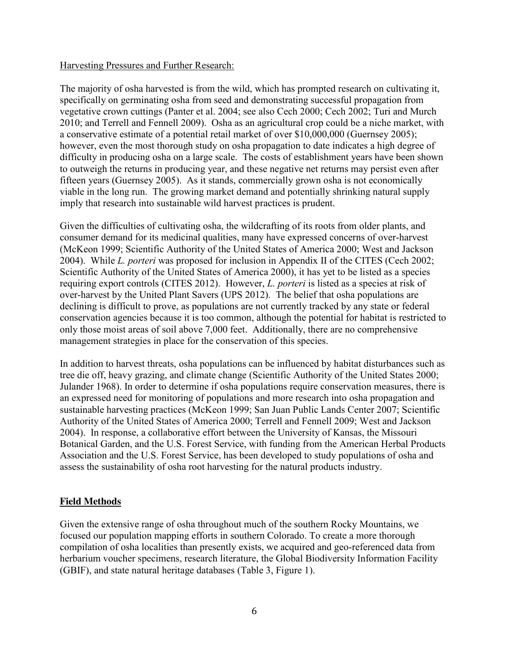#### Harvesting Pressures and Further Research:

The majority of osha harvested is from the wild, which has prompted research on cultivating it, specifically on germinating osha from seed and demonstrating successful propagation from vegetative crown cuttings (Panter et al. 2004; see also Cech 2000; Cech 2002; Turi and Murch 2010; and Terrell and Fennell 2009). Osha as an agricultural crop could be a niche market, with a conservative estimate of a potential retail market of over \$10,000,000 (Guernsey 2005); however, even the most thorough study on osha propagation to date indicates a high degree of difficulty in producing osha on a large scale. The costs of establishment years have been shown to outweigh the returns in producing year, and these negative net returns may persist even after fifteen years (Guernsey 2005). As it stands, commercially grown osha is not economically viable in the long run. The growing market demand and potentially shrinking natural supply imply that research into sustainable wild harvest practices is prudent.

Given the difficulties of cultivating osha, the wildcrafting of its roots from older plants, and consumer demand for its medicinal qualities, many have expressed concerns of over-harvest (McKeon 1999; Scientific Authority of the United States of America 2000; West and Jackson 2004). While *L. porteri* was proposed for inclusion in Appendix II of the CITES (Cech 2002; Scientific Authority of the United States of America 2000), it has yet to be listed as a species requiring export controls (CITES 2012). However, *L. porteri* is listed as a species at risk of over-harvest by the United Plant Savers (UPS 2012). The belief that osha populations are declining is difficult to prove, as populations are not currently tracked by any state or federal conservation agencies because it is too common, although the potential for habitat is restricted to only those moist areas of soil above 7,000 feet. Additionally, there are no comprehensive management strategies in place for the conservation of this species.

In addition to harvest threats, osha populations can be influenced by habitat disturbances such as tree die off, heavy grazing, and climate change (Scientific Authority of the United States 2000; Julander 1968). In order to determine if osha populations require conservation measures, there is an expressed need for monitoring of populations and more research into osha propagation and sustainable harvesting practices (McKeon 1999; San Juan Public Lands Center 2007; Scientific Authority of the United States of America 2000; Terrell and Fennell 2009; West and Jackson 2004). In response, a collaborative effort between the University of Kansas, the Missouri Botanical Garden, and the U.S. Forest Service, with funding from the American Herbal Products Association and the U.S. Forest Service, has been developed to study populations of osha and assess the sustainability of osha root harvesting for the natural products industry.

#### **Field Methods**

Given the extensive range of osha throughout much of the southern Rocky Mountains, we focused our population mapping efforts in southern Colorado. To create a more thorough compilation of osha localities than presently exists, we acquired and geo-referenced data from herbarium voucher specimens, research literature, the Global Biodiversity Information Facility (GBIF), and state natural heritage databases (Table 3, Figure 1).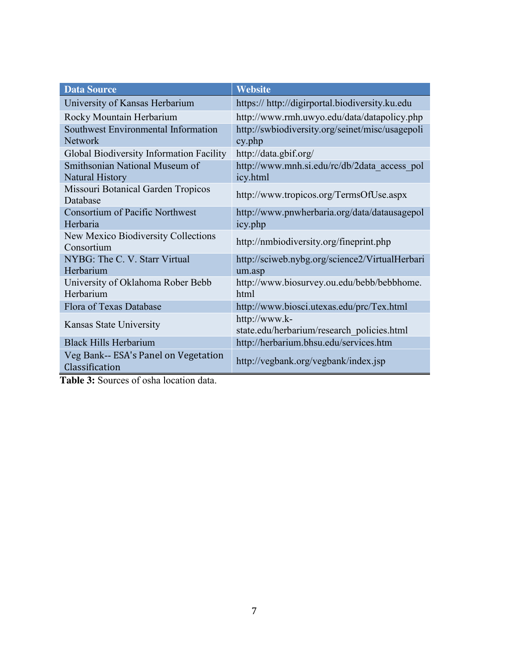| <b>Data Source</b>                                     | <b>Website</b>                                              |
|--------------------------------------------------------|-------------------------------------------------------------|
| University of Kansas Herbarium                         | https:// http://digirportal.biodiversity.ku.edu             |
| Rocky Mountain Herbarium                               | http://www.rmh.uwyo.edu/data/datapolicy.php                 |
| Southwest Environmental Information<br><b>Network</b>  | http://swbiodiversity.org/seinet/misc/usagepoli<br>cy.php   |
| Global Biodiversity Information Facility               | http://data.gbif.org/                                       |
| Smithsonian National Museum of<br>Natural History      | http://www.mnh.si.edu/rc/db/2data access pol<br>icy.html    |
| Missouri Botanical Garden Tropicos<br>Database         | http://www.tropicos.org/TermsOfUse.aspx                     |
| <b>Consortium of Pacific Northwest</b><br>Herbaria     | http://www.pnwherbaria.org/data/datausagepol<br>icy.php     |
| New Mexico Biodiversity Collections<br>Consortium      | http://nmbiodiversity.org/fineprint.php                     |
| NYBG: The C. V. Starr Virtual<br>Herbarium             | http://sciweb.nybg.org/science2/VirtualHerbari<br>um.asp    |
| University of Oklahoma Rober Bebb<br>Herbarium         | http://www.biosurvey.ou.edu/bebb/bebbhome.<br>html          |
| Flora of Texas Database                                | http://www.biosci.utexas.edu/prc/Tex.html                   |
| Kansas State University                                | http://www.k-<br>state.edu/herbarium/research_policies.html |
| <b>Black Hills Herbarium</b>                           | http://herbarium.bhsu.edu/services.htm                      |
| Veg Bank-- ESA's Panel on Vegetation<br>Classification | http://vegbank.org/vegbank/index.jsp                        |

**Table 3:** Sources of osha location data.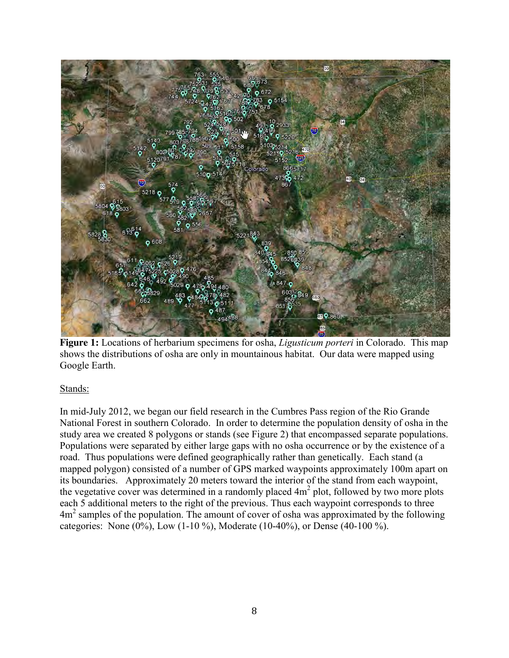

**Figure 1:** Locations of herbarium specimens for osha, *Ligusticum porteri* in Colorado. This map shows the distributions of osha are only in mountainous habitat. Our data were mapped using Google Earth.

# Stands:

In mid-July 2012, we began our field research in the Cumbres Pass region of the Rio Grande National Forest in southern Colorado. In order to determine the population density of osha in the study area we created 8 polygons or stands (see Figure 2) that encompassed separate populations. Populations were separated by either large gaps with no osha occurrence or by the existence of a road. Thus populations were defined geographically rather than genetically. Each stand (a mapped polygon) consisted of a number of GPS marked waypoints approximately 100m apart on its boundaries. Approximately 20 meters toward the interior of the stand from each waypoint, the vegetative cover was determined in a randomly placed  $4m^2$  plot, followed by two more plots each 5 additional meters to the right of the previous. Thus each waypoint corresponds to three 4m<sup>2</sup> samples of the population. The amount of cover of osha was approximated by the following categories: None (0%), Low (1-10 %), Moderate (10-40%), or Dense (40-100 %).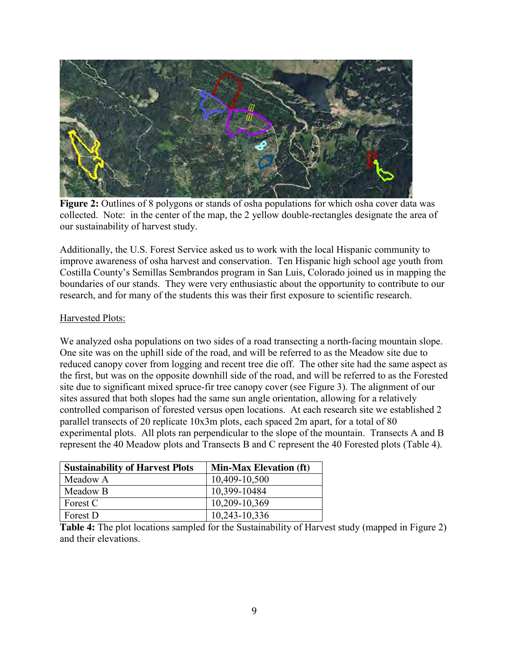

**Figure 2:** Outlines of 8 polygons or stands of osha populations for which osha cover data was collected. Note: in the center of the map, the 2 yellow double-rectangles designate the area of our sustainability of harvest study.

Additionally, the U.S. Forest Service asked us to work with the local Hispanic community to improve awareness of osha harvest and conservation. Ten Hispanic high school age youth from Costilla County's Semillas Sembrandos program in San Luis, Colorado joined us in mapping the boundaries of our stands. They were very enthusiastic about the opportunity to contribute to our research, and for many of the students this was their first exposure to scientific research.

## Harvested Plots:

We analyzed osha populations on two sides of a road transecting a north-facing mountain slope. One site was on the uphill side of the road, and will be referred to as the Meadow site due to reduced canopy cover from logging and recent tree die off. The other site had the same aspect as the first, but was on the opposite downhill side of the road, and will be referred to as the Forested site due to significant mixed spruce-fir tree canopy cover (see Figure 3). The alignment of our sites assured that both slopes had the same sun angle orientation, allowing for a relatively controlled comparison of forested versus open locations. At each research site we established 2 parallel transects of 20 replicate 10x3m plots, each spaced 2m apart, for a total of 80 experimental plots. All plots ran perpendicular to the slope of the mountain. Transects A and B represent the 40 Meadow plots and Transects B and C represent the 40 Forested plots (Table 4).

| <b>Sustainability of Harvest Plots</b> | <b>Min-Max Elevation (ft)</b> |
|----------------------------------------|-------------------------------|
| Meadow A                               | 10,409-10,500                 |
| Meadow B                               | 10,399-10484                  |
| Forest C                               | 10,209-10,369                 |
| Forest D                               | $10,243 - 10,336$             |

**Table 4:** The plot locations sampled for the Sustainability of Harvest study (mapped in Figure 2) and their elevations.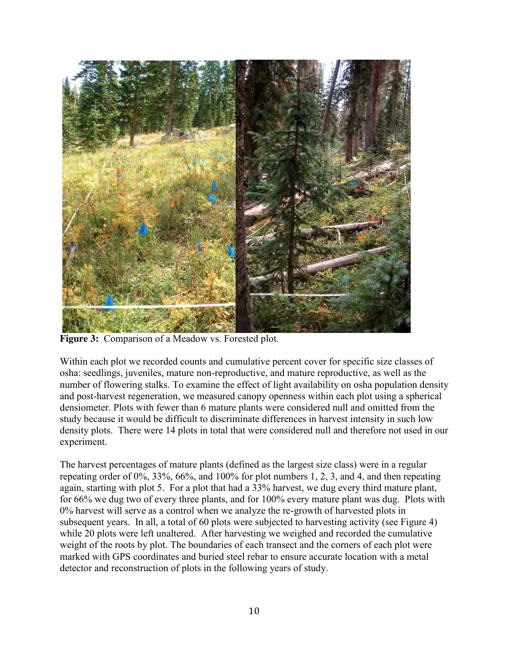

Figure 3: Comparison of a Meadow vs. Forested plot.

Within each plot we recorded counts and cumulative percent cover for specific size classes of osha: seedlings, juveniles, mature non-reproductive, and mature reproductive, as well as the number of flowering stalks. To examine the effect of light availability on osha population density and post-harvest regeneration, we measured canopy openness within each plot using a spherical densiometer. Plots with fewer than 6 mature plants were considered null and omitted from the study because it would be difficult to discriminate differences in harvest intensity in such low density plots. There were 14 plots in total that were considered null and therefore not used in our experiment.

The harvest percentages of mature plants (defined as the largest size class) were in a regular repeating order of 0%, 33%, 66%, and 100% for plot numbers 1, 2, 3, and 4, and then repeating again, starting with plot 5. For a plot that had a 33% harvest, we dug every third mature plant, for 66% we dug two of every three plants, and for 100% every mature plant was dug. Plots with 0% harvest will serve as a control when we analyze the re-growth of harvested plots in subsequent years. In all, a total of 60 plots were subjected to harvesting activity (see Figure 4) while 20 plots were left unaltered. After harvesting we weighed and recorded the cumulative weight of the roots by plot. The boundaries of each transect and the corners of each plot were marked with GPS coordinates and buried steel rebar to ensure accurate location with a metal detector and reconstruction of plots in the following years of study.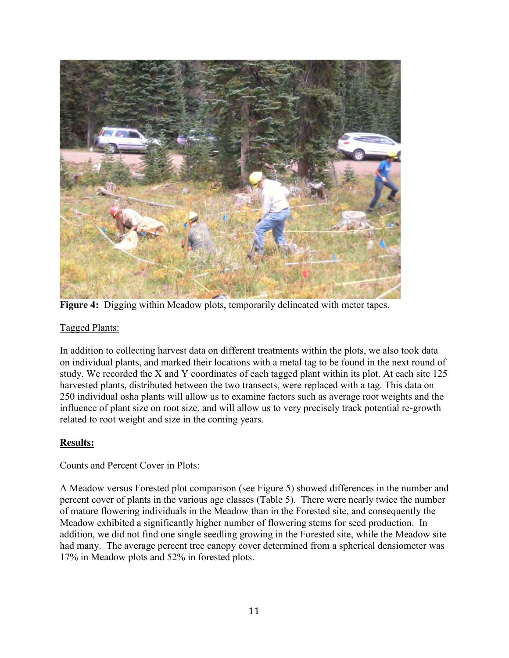

**Figure 4:** Digging within Meadow plots, temporarily delineated with meter tapes.

# Tagged Plants:

In addition to collecting harvest data on different treatments within the plots, we also took data on individual plants, and marked their locations with a metal tag to be found in the next round of study. We recorded the X and Y coordinates of each tagged plant within its plot. At each site 125 harvested plants, distributed between the two transects, were replaced with a tag. This data on 250 individual osha plants will allow us to examine factors such as average root weights and the influence of plant size on root size, and will allow us to very precisely track potential re-growth related to root weight and size in the coming years.

# **Results:**

# Counts and Percent Cover in Plots:

A Meadow versus Forested plot comparison (see Figure 5) showed differences in the number and percent cover of plants in the various age classes (Table 5). There were nearly twice the number of mature flowering individuals in the Meadow than in the Forested site, and consequently the Meadow exhibited a significantly higher number of flowering stems for seed production. In addition, we did not find one single seedling growing in the Forested site, while the Meadow site had many. The average percent tree canopy cover determined from a spherical densiometer was 17% in Meadow plots and 52% in forested plots.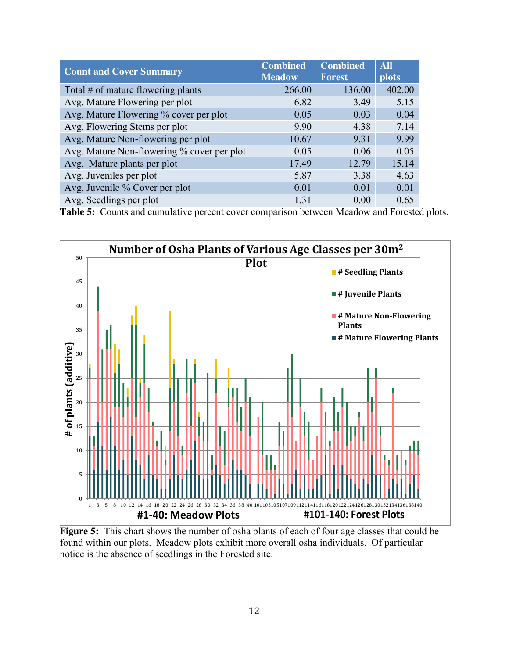| <b>Count and Cover Summary</b>             | <b>Combined</b><br><b>Meadow</b> | <b>Combined</b><br><b>Forest</b> | <b>All</b><br><b>plots</b> |
|--------------------------------------------|----------------------------------|----------------------------------|----------------------------|
| Total $#$ of mature flowering plants       | 266.00                           | 136.00                           | 402.00                     |
| Avg. Mature Flowering per plot             | 6.82                             | 3.49                             | 5.15                       |
| Avg. Mature Flowering % cover per plot     | 0.05                             | 0.03                             | 0.04                       |
| Avg. Flowering Stems per plot              | 9.90                             | 4.38                             | 7.14                       |
| Avg. Mature Non-flowering per plot         | 10.67                            | 9.31                             | 9.99                       |
| Avg. Mature Non-flowering % cover per plot | 0.05                             | 0.06                             | 0.05                       |
| Avg. Mature plants per plot                | 17.49                            | 12.79                            | 15.14                      |
| Avg. Juveniles per plot                    | 5.87                             | 3.38                             | 4.63                       |
| Avg. Juvenile % Cover per plot             | 0.01                             | 0.01                             | 0.01                       |
| Avg. Seedlings per plot                    | 1.31                             | 0.00                             | 0.65                       |

**Table 5:**Counts and cumulative percent cover comparison between Meadow and Forested plots.



**Figure 5:** This chart shows the number of osha plants of each of four age classes that could be found within our plots. Meadow plots exhibit more overall osha individuals. Of particular notice is the absence of seedlings in the Forested site.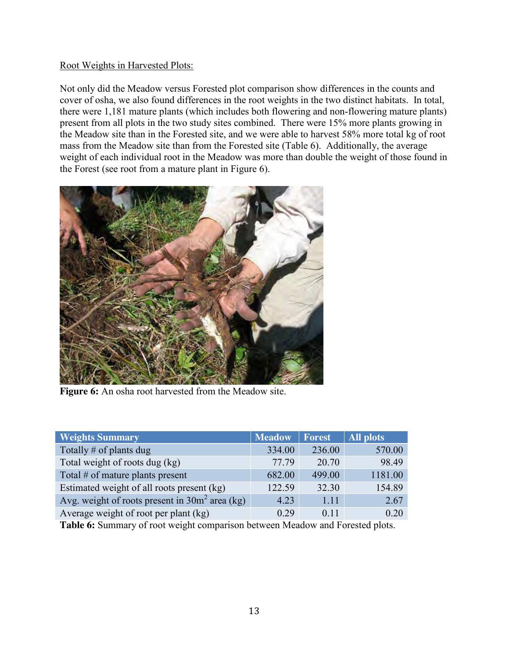## Root Weights in Harvested Plots:

Not only did the Meadow versus Forested plot comparison show differences in the counts and cover of osha, we also found differences in the root weights in the two distinct habitats. In total, there were 1,181 mature plants (which includes both flowering and non-flowering mature plants) present from all plots in the two study sites combined. There were 15% more plants growing in the Meadow site than in the Forested site, and we were able to harvest 58% more total kg of root mass from the Meadow site than from the Forested site (Table 6). Additionally, the average weight of each individual root in the Meadow was more than double the weight of those found in the Forest (see root from a mature plant in Figure 6).



**Figure 6:** An osha root harvested from the Meadow site.

| <b>Weights Summary</b>                            | <b>Meadow</b> | <b>Forest</b>   | <b>All plots</b> |
|---------------------------------------------------|---------------|-----------------|------------------|
| Totally # of plants dug                           | 334.00        | 236.00          | 570.00           |
| Total weight of roots dug (kg)                    | 77.79         | 20.70           | 98.49            |
| Total $#$ of mature plants present                | 682.00        | 499.00          | 1181.00          |
| Estimated weight of all roots present (kg)        | 122.59        | 32.30           | 154.89           |
| Avg. weight of roots present in $30m^2$ area (kg) | 4.23          | 1.11            | 2.67             |
| Average weight of root per plant (kg)             | 0.29          | 0 <sub>11</sub> | 0.20             |

**Table 6:** Summary of root weight comparison between Meadow and Forested plots.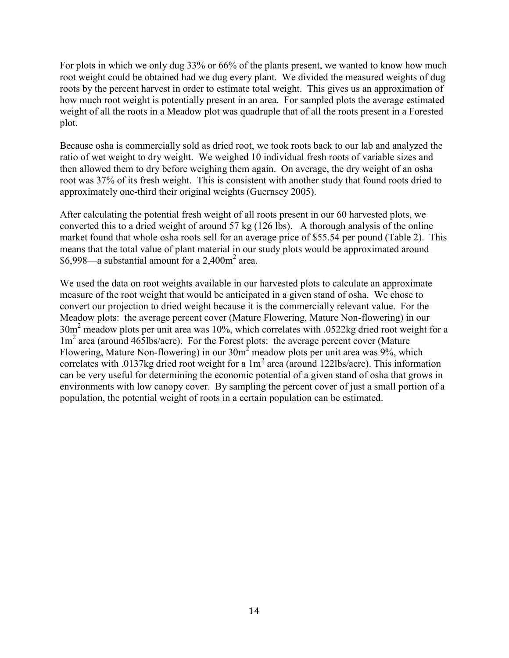For plots in which we only dug 33% or 66% of the plants present, we wanted to know how much root weight could be obtained had we dug every plant. We divided the measured weights of dug roots by the percent harvest in order to estimate total weight. This gives us an approximation of how much root weight is potentially present in an area. For sampled plots the average estimated weight of all the roots in a Meadow plot was quadruple that of all the roots present in a Forested plot.

Because osha is commercially sold as dried root, we took roots back to our lab and analyzed the ratio of wet weight to dry weight. We weighed 10 individual fresh roots of variable sizes and then allowed them to dry before weighing them again. On average, the dry weight of an osha root was 37% of its fresh weight. This is consistent with another study that found roots dried to approximately one-third their original weights (Guernsey 2005).

After calculating the potential fresh weight of all roots present in our 60 harvested plots, we converted this to a dried weight of around 57 kg (126 lbs). A thorough analysis of the online market found that whole osha roots sell for an average price of \$55.54 per pound (Table 2). This means that the total value of plant material in our study plots would be approximated around  $$6,998$ —a substantial amount for a 2,400 $m<sup>2</sup>$  area.

We used the data on root weights available in our harvested plots to calculate an approximate measure of the root weight that would be anticipated in a given stand of osha. We chose to convert our projection to dried weight because it is the commercially relevant value. For the Meadow plots: the average percent cover (Mature Flowering, Mature Non-flowering) in our 30m<sup>2</sup> meadow plots per unit area was 10%, which correlates with .0522kg dried root weight for a 1m<sup>2</sup> area (around 465lbs/acre). For the Forest plots: the average percent cover (Mature Flowering, Mature Non-flowering) in our  $30m^2$  meadow plots per unit area was 9%, which correlates with .0137kg dried root weight for a  $1m<sup>2</sup>$  area (around 122lbs/acre). This information can be very useful for determining the economic potential of a given stand of osha that grows in environments with low canopy cover. By sampling the percent cover of just a small portion of a population, the potential weight of roots in a certain population can be estimated.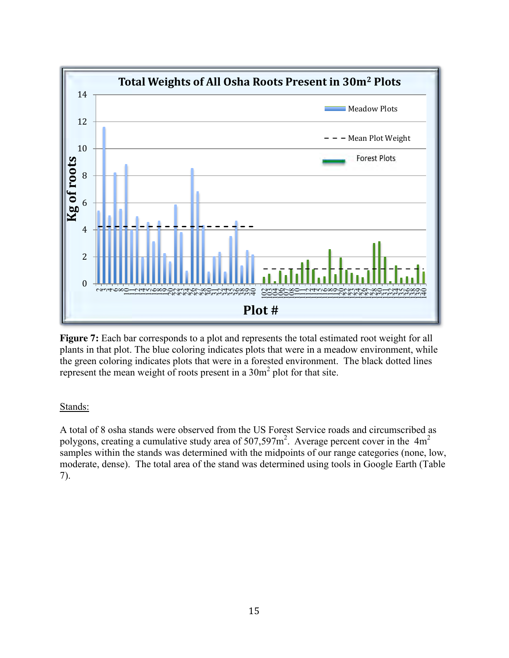

**Figure 7:** Each bar corresponds to a plot and represents the total estimated root weight for all plants in that plot. The blue coloring indicates plots that were in a meadow environment, while the green coloring indicates plots that were in a forested environment. The black dotted lines represent the mean weight of roots present in a  $30m^2$  plot for that site.

# Stands:

A total of 8 osha stands were observed from the US Forest Service roads and circumscribed as polygons, creating a cumulative study area of  $507,597$ m<sup>2</sup>. Average percent cover in the  $4m<sup>2</sup>$ samples within the stands was determined with the midpoints of our range categories (none, low, moderate, dense). The total area of the stand was determined using tools in Google Earth (Table 7).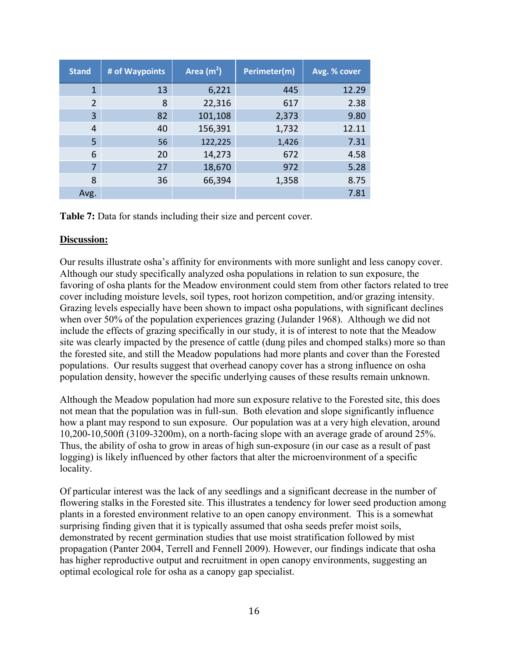| <b>Stand</b>   | # of Waypoints | Area $(m2)$ | Perimeter(m) | Avg. % cover |
|----------------|----------------|-------------|--------------|--------------|
| 1              | 13             | 6,221       | 445          | 12.29        |
| $\overline{2}$ | 8              | 22,316      | 617          | 2.38         |
| $\overline{3}$ | 82             | 101,108     | 2,373        | 9.80         |
| 4              | 40             | 156,391     | 1,732        | 12.11        |
| 5              | 56             | 122,225     | 1,426        | 7.31         |
| 6              | 20             | 14,273      | 672          | 4.58         |
| 7              | 27             | 18,670      | 972          | 5.28         |
| 8              | 36             | 66,394      | 1,358        | 8.75         |
| Avg.           |                |             |              | 7.81         |

**Table 7:** Data for stands including their size and percent cover.

#### **Discussion:**

Our results illustrate osha's affinity for environments with more sunlight and less canopy cover. Although our study specifically analyzed osha populations in relation to sun exposure, the favoring of osha plants for the Meadow environment could stem from other factors related to tree cover including moisture levels, soil types, root horizon competition, and/or grazing intensity. Grazing levels especially have been shown to impact osha populations, with significant declines when over 50% of the population experiences grazing (Julander 1968). Although we did not include the effects of grazing specifically in our study, it is of interest to note that the Meadow site was clearly impacted by the presence of cattle (dung piles and chomped stalks) more so than the forested site, and still the Meadow populations had more plants and cover than the Forested populations. Our results suggest that overhead canopy cover has a strong influence on osha population density, however the specific underlying causes of these results remain unknown.

Although the Meadow population had more sun exposure relative to the Forested site, this does not mean that the population was in full-sun. Both elevation and slope significantly influence how a plant may respond to sun exposure. Our population was at a very high elevation, around 10,200-10,500ft (3109-3200m), on a north-facing slope with an average grade of around 25%. Thus, the ability of osha to grow in areas of high sun-exposure (in our case as a result of past logging) is likely influenced by other factors that alter the microenvironment of a specific locality.

Of particular interest was the lack of any seedlings and a significant decrease in the number of flowering stalks in the Forested site. This illustrates a tendency for lower seed production among plants in a forested environment relative to an open canopy environment. This is a somewhat surprising finding given that it is typically assumed that osha seeds prefer moist soils, demonstrated by recent germination studies that use moist stratification followed by mist propagation (Panter 2004, Terrell and Fennell 2009). However, our findings indicate that osha has higher reproductive output and recruitment in open canopy environments, suggesting an optimal ecological role for osha as a canopy gap specialist.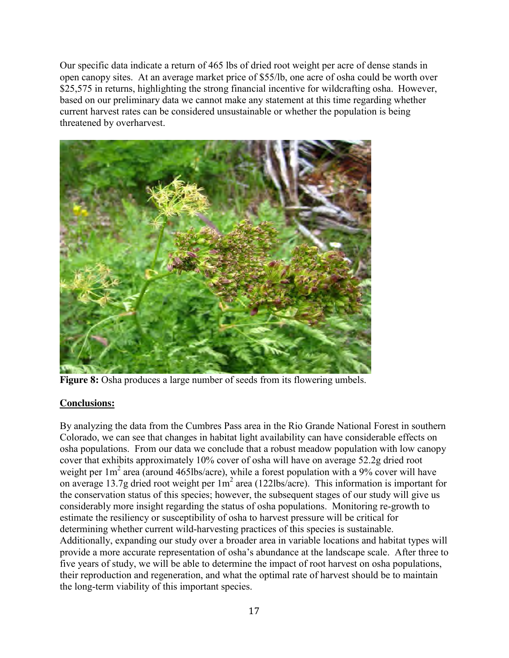Our specific data indicate a return of 465 lbs of dried root weight per acre of dense stands in open canopy sites. At an average market price of \$55/lb, one acre of osha could be worth over \$25,575 in returns, highlighting the strong financial incentive for wildcrafting osha. However, based on our preliminary data we cannot make any statement at this time regarding whether current harvest rates can be considered unsustainable or whether the population is being threatened by overharvest.



**Figure 8:** Osha produces a large number of seeds from its flowering umbels.

# **Conclusions:**

By analyzing the data from the Cumbres Pass area in the Rio Grande National Forest in southern Colorado, we can see that changes in habitat light availability can have considerable effects on osha populations. From our data we conclude that a robust meadow population with low canopy cover that exhibits approximately 10% cover of osha will have on average 52.2g dried root weight per  $1m^2$  area (around 465lbs/acre), while a forest population with a 9% cover will have on average 13.7g dried root weight per  $1m^2$  area (122lbs/acre). This information is important for the conservation status of this species; however, the subsequent stages of our study will give us considerably more insight regarding the status of osha populations. Monitoring re-growth to estimate the resiliency or susceptibility of osha to harvest pressure will be critical for determining whether current wild-harvesting practices of this species is sustainable. Additionally, expanding our study over a broader area in variable locations and habitat types will provide a more accurate representation of osha's abundance at the landscape scale. After three to five years of study, we will be able to determine the impact of root harvest on osha populations, their reproduction and regeneration, and what the optimal rate of harvest should be to maintain the long-term viability of this important species.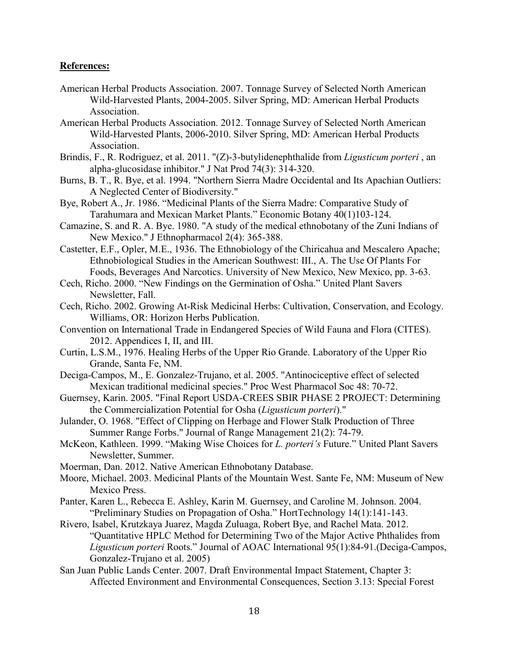#### **References:**

- American Herbal Products Association. 2007. Tonnage Survey of Selected North American Wild-Harvested Plants, 2004-2005. Silver Spring, MD: American Herbal Products Association.
- American Herbal Products Association. 2012. Tonnage Survey of Selected North American Wild-Harvested Plants, 2006-2010. Silver Spring, MD: American Herbal Products Association.
- Brindis, F., R. Rodriguez, et al. 2011. "(Z)-3-butylidenephthalide from *Ligusticum porteri* , an alpha-glucosidase inhibitor." J Nat Prod 74(3): 314-320.
- Burns, B. T., R. Bye, et al. 1994. "Northern Sierra Madre Occidental and Its Apachian Outliers: A Neglected Center of Biodiversity."
- Bye, Robert A., Jr. 1986. "Medicinal Plants of the Sierra Madre: Comparative Study of Tarahumara and Mexican Market Plants." Economic Botany 40(1)103-124.
- Camazine, S. and R. A. Bye. 1980. "A study of the medical ethnobotany of the Zuni Indians of New Mexico." J Ethnopharmacol 2(4): 365-388.
- Castetter, E.F., Opler, M.E., 1936. The Ethnobiology of the Chiricahua and Mescalero Apache; Ethnobiological Studies in the American Southwest: III., A. The Use Of Plants For Foods, Beverages And Narcotics. University of New Mexico, New Mexico, pp. 3-63.
- Cech, Richo. 2000. "New Findings on the Germination of Osha." United Plant Savers Newsletter, Fall.
- Cech, Richo. 2002. Growing At-Risk Medicinal Herbs: Cultivation, Conservation, and Ecology. Williams, OR: Horizon Herbs Publication.
- Convention on International Trade in Endangered Species of Wild Fauna and Flora (CITES). 2012. Appendices I, II, and III.
- Curtin, L.S.M., 1976. Healing Herbs of the Upper Rio Grande. Laboratory of the Upper Rio Grande, Santa Fe, NM.
- Deciga-Campos, M., E. Gonzalez-Trujano, et al. 2005. "Antinociceptive effect of selected Mexican traditional medicinal species." Proc West Pharmacol Soc 48: 70-72.
- Guernsey, Karin. 2005. "Final Report USDA-CREES SBIR PHASE 2 PROJECT: Determining the Commercialization Potential for Osha (*Ligusticum porteri*)."
- Julander, O. 1968. "Effect of Clipping on Herbage and Flower Stalk Production of Three Summer Range Forbs." Journal of Range Management 21(2): 74-79.
- McKeon, Kathleen. 1999. "Making Wise Choices for *L. porteri's* Future." United Plant Savers Newsletter, Summer.
- Moerman, Dan. 2012. Native American Ethnobotany Database.
- Moore, Michael. 2003. Medicinal Plants of the Mountain West. Sante Fe, NM: Museum of New Mexico Press.
- Panter, Karen L., Rebecca E. Ashley, Karin M. Guernsey, and Caroline M. Johnson. 2004. "Preliminary Studies on Propagation of Osha." HortTechnology 14(1):141-143.
- Rivero, Isabel, Krutzkaya Juarez, Magda Zuluaga, Robert Bye, and Rachel Mata. 2012. "Quantitative HPLC Method for Determining Two of the Major Active Phthalides from *Ligusticum porteri* Roots." Journal of AOAC International 95(1):84-91.(Deciga-Campos, Gonzalez-Trujano et al. 2005)
- San Juan Public Lands Center. 2007. Draft Environmental Impact Statement, Chapter 3: Affected Environment and Environmental Consequences, Section 3.13: Special Forest